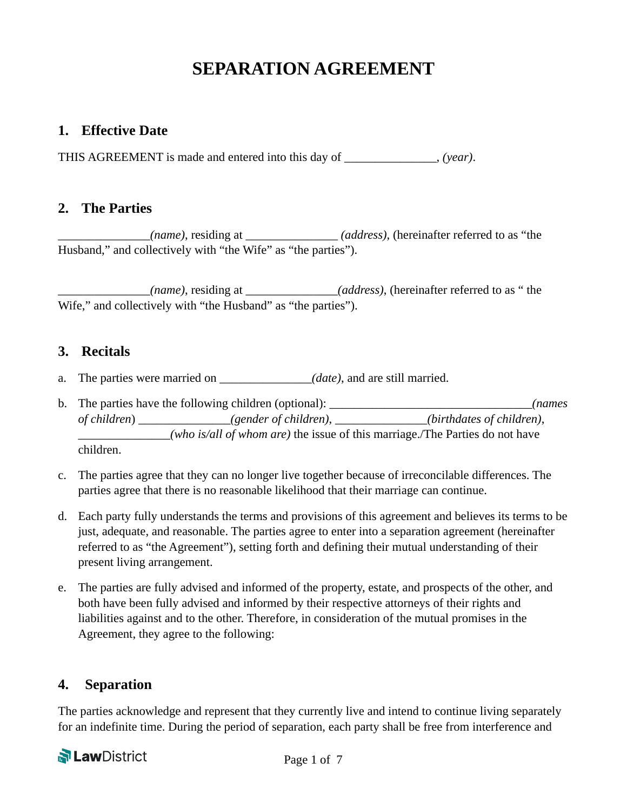# **SEPARATION AGREEMENT**

## **1. Effective Date**

THIS AGREEMENT is made and entered into this day of \_\_\_\_\_\_\_\_\_\_\_\_\_\_\_, *(year)*.

### **2. The Parties**

\_\_\_\_\_\_\_\_\_\_\_\_\_\_\_*(name)*, residing at \_\_\_\_\_\_\_\_\_\_\_\_\_\_\_ *(address)*, (hereinafter referred to as "the Husband," and collectively with "the Wife" as "the parties").

\_\_\_\_\_\_\_\_\_\_\_\_\_\_\_*(name)*, residing at \_\_\_\_\_\_\_\_\_\_\_\_\_\_\_*(address)*, (hereinafter referred to as " the Wife," and collectively with "the Husband" as "the parties").

### **3. Recitals**

- a. The parties were married on  $(date)$ , and are still married.
- b. The parties have the following children (optional): \_\_\_\_\_\_\_\_\_\_\_\_\_\_\_\_\_\_\_\_\_\_\_\_\_\_\_\_\_\_\_\_\_*(names of children*) \_\_\_\_\_\_\_\_\_\_\_\_\_\_\_*(gender of children)*, \_\_\_\_\_\_\_\_\_\_\_\_\_\_\_*(birthdates of children)*, \_\_\_\_\_\_\_\_\_\_\_\_\_\_\_*(who is/all of whom are)* the issue of this marriage./The Parties do not have children.
- c. The parties agree that they can no longer live together because of irreconcilable differences. The parties agree that there is no reasonable likelihood that their marriage can continue.
- d. Each party fully understands the terms and provisions of this agreement and believes its terms to be just, adequate, and reasonable. The parties agree to enter into a separation agreement (hereinafter referred to as "the Agreement"), setting forth and defining their mutual understanding of their present living arrangement.
- e. The parties are fully advised and informed of the property, estate, and prospects of the other, and both have been fully advised and informed by their respective attorneys of their rights and liabilities against and to the other. Therefore, in consideration of the mutual promises in the Agreement, they agree to the following:

# **4. Separation**

The parties acknowledge and represent that they currently live and intend to continue living separately for an indefinite time. During the period of separation, each party shall be free from interference and

# **PLawDistrict**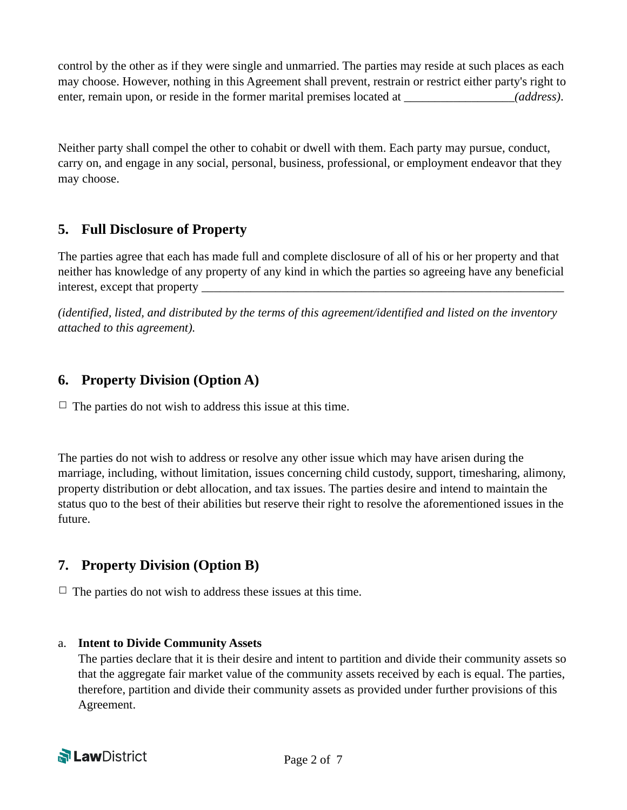control by the other as if they were single and unmarried. The parties may reside at such places as each may choose. However, nothing in this Agreement shall prevent, restrain or restrict either party's right to enter, remain upon, or reside in the former marital premises located at (address).

Neither party shall compel the other to cohabit or dwell with them. Each party may pursue, conduct, carry on, and engage in any social, personal, business, professional, or employment endeavor that they may choose.

# **5. Full Disclosure of Property**

The parties agree that each has made full and complete disclosure of all of his or her property and that neither has knowledge of any property of any kind in which the parties so agreeing have any beneficial interest, except that property

*(identified, listed, and distributed by the terms of this agreement/identified and listed on the inventory attached to this agreement).* 

# **6. Property Division (Option A)**

 $\Box$  The parties do not wish to address this issue at this time.

The parties do not wish to address or resolve any other issue which may have arisen during the marriage, including, without limitation, issues concerning child custody, support, timesharing, alimony, property distribution or debt allocation, and tax issues. The parties desire and intend to maintain the status quo to the best of their abilities but reserve their right to resolve the aforementioned issues in the future.

# **7. Property Division (Option B)**

 $\Box$  The parties do not wish to address these issues at this time.

## a. **Intent to Divide Community Assets**

The parties declare that it is their desire and intent to partition and divide their community assets so that the aggregate fair market value of the community assets received by each is equal. The parties, therefore, partition and divide their community assets as provided under further provisions of this Agreement.

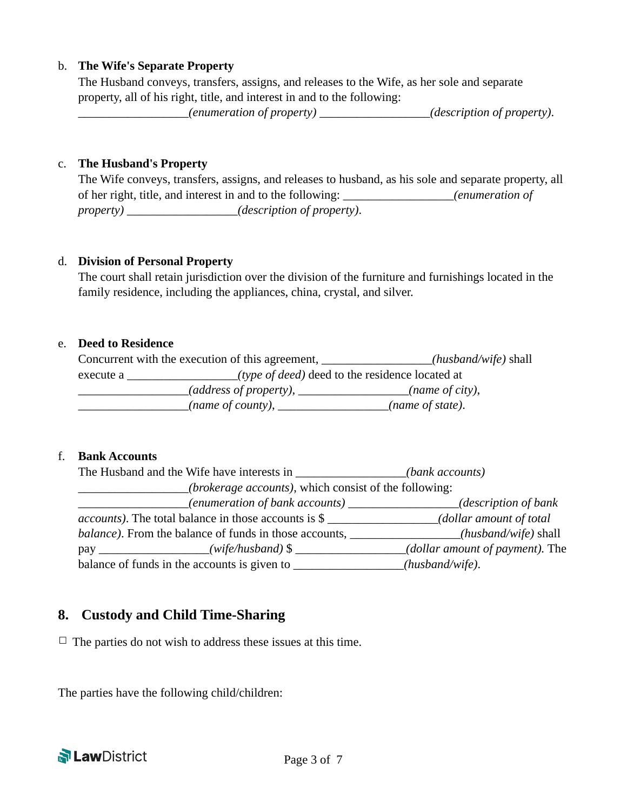#### b. **The Wife's Separate Property**

The Husband conveys, transfers, assigns, and releases to the Wife, as her sole and separate property, all of his right, title, and interest in and to the following:

\_\_\_\_\_\_\_\_\_\_\_\_\_\_\_\_\_\_*(enumeration of property)* \_\_\_\_\_\_\_\_\_\_\_\_\_\_\_\_\_\_*(description of property)*.

#### c. **The Husband's Property**

The Wife conveys, transfers, assigns, and releases to husband, as his sole and separate property, all of her right, title, and interest in and to the following: \_\_\_\_\_\_\_\_\_\_\_\_\_\_\_\_\_\_*(enumeration of property)* \_\_\_\_\_\_\_\_\_\_\_\_\_\_\_\_\_\_*(description of property)*.

#### d. **Division of Personal Property**

The court shall retain jurisdiction over the division of the furniture and furnishings located in the family residence, including the appliances, china, crystal, and silver.

#### e. **Deed to Residence**

|           | Concurrent with the execution of this agreement, | $(husband/wife)$ shall                                 |  |  |
|-----------|--------------------------------------------------|--------------------------------------------------------|--|--|
| execute a |                                                  | <i>(type of deed)</i> deed to the residence located at |  |  |
|           | (address of property),                           | (name of city),                                        |  |  |
|           | (name of county), $\overline{\phantom{a}}$       | (name of state).                                       |  |  |

#### f. **Bank Accounts**

| The Husband and the Wife have interests in                           | (bank accounts)                 |  |
|----------------------------------------------------------------------|---------------------------------|--|
| ( <i>brokerage accounts</i> ), which consist of the following:       |                                 |  |
|                                                                      | ( <i>description of bank</i>    |  |
| <i>accounts</i> ). The total balance in those accounts is \$         | dollar amount of total          |  |
| <i>balance</i> ). From the balance of funds in those accounts, _____ | (husband/wife) shall            |  |
| (wife/husband) $\frac{1}{2}$                                         | (dollar amount of payment). The |  |
| balance of funds in the accounts is given to                         | $(husband/wife)$ .              |  |

# **8. Custody and Child Time-Sharing**

 $\Box$  The parties do not wish to address these issues at this time.

The parties have the following child/children:

**N Law** District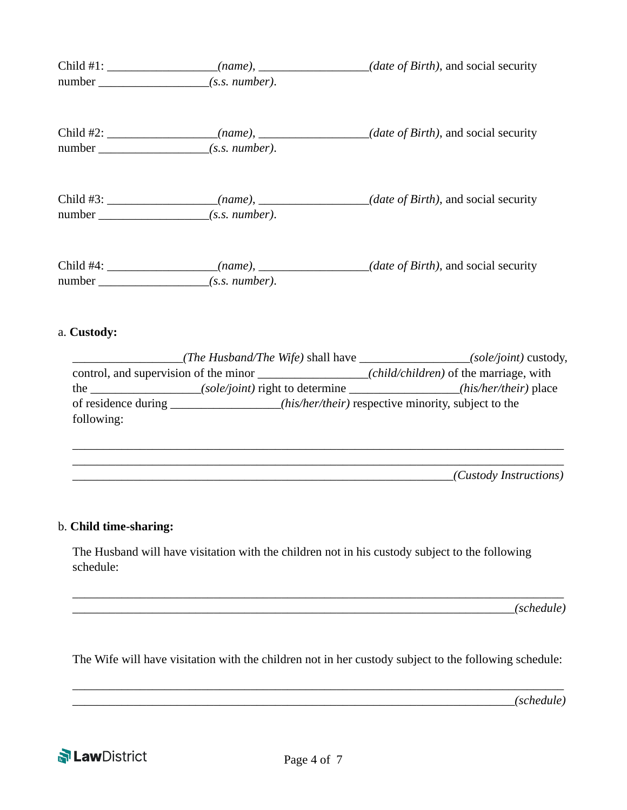| Child #1: | number $(s.s. number)$ .     | <i>(date of Birth)</i> , and social security                                          |
|-----------|------------------------------|---------------------------------------------------------------------------------------|
|           | $number_{\_}$ (s.s. number). | Child #2: __________________(name), _____________(date of Birth), and social security |
|           | number $(s.s. number)$ .     | <i>(date of Birth)</i> , and social security                                          |
|           | $(s.s.$ number).             | (date of Birth), and social security                                                  |

#### a. **Custody:**

|                                       | ( <i>The Husband/The Wife</i> ) shall have | <i>(sole/joint)</i> custody,                        |
|---------------------------------------|--------------------------------------------|-----------------------------------------------------|
| control, and supervision of the minor |                                            | ( <i>child/children</i> ) of the marriage, with     |
| the                                   | <i>(sole/joint)</i> right to determine     | <i>(his/her/their)</i> place                        |
| of residence during                   |                                            | (his/her/their) respective minority, subject to the |
| following:                            |                                            |                                                     |

\_\_\_\_\_\_\_\_\_\_\_\_\_\_\_\_\_\_\_\_\_\_\_\_\_\_\_\_\_\_\_\_\_\_\_\_\_\_\_\_\_\_\_\_\_\_\_\_\_\_\_\_\_\_\_\_\_\_\_\_\_\_\_\_\_\_\_\_\_\_\_\_\_\_\_\_\_\_\_\_ \_\_\_\_\_\_\_\_\_\_\_\_\_\_\_\_\_\_\_\_\_\_\_\_\_\_\_\_\_\_\_\_\_\_\_\_\_\_\_\_\_\_\_\_\_\_\_\_\_\_\_\_\_\_\_\_\_\_\_\_\_\_\_\_\_\_\_\_\_\_\_\_\_\_\_\_\_\_\_\_ \_\_\_\_\_\_\_\_\_\_\_\_\_\_\_\_\_\_\_\_\_\_\_\_\_\_\_\_\_\_\_\_\_\_\_\_\_\_\_\_\_\_\_\_\_\_\_\_\_\_\_\_\_\_\_\_\_\_\_\_\_\_*(Custody Instructions)*

### b. **Child time-sharing:**

The Husband will have visitation with the children not in his custody subject to the following schedule:

 $\angle$ (schedule)

The Wife will have visitation with the children not in her custody subject to the following schedule:

\_\_\_\_\_\_\_\_\_\_\_\_\_\_\_\_\_\_\_\_\_\_\_\_\_\_\_\_\_\_\_\_\_\_\_\_\_\_\_\_\_\_\_\_\_\_\_\_\_\_\_\_\_\_\_\_\_\_\_\_\_\_\_\_\_\_\_\_\_\_\_\_\_\_\_\_\_\_\_\_

\_\_\_\_\_\_\_\_\_\_\_\_\_\_\_\_\_\_\_\_\_\_\_\_\_\_\_\_\_\_\_\_\_\_\_\_\_\_\_\_\_\_\_\_\_\_\_\_\_\_\_\_\_\_\_\_\_\_\_\_\_\_\_\_\_\_\_\_\_\_\_\_\_\_\_\_\_\_\_\_

\_\_\_\_\_\_\_\_\_\_\_\_\_\_\_\_\_\_\_\_\_\_\_\_\_\_\_\_\_\_\_\_\_\_\_\_\_\_\_\_\_\_\_\_\_\_\_\_\_\_\_\_\_\_\_\_\_\_\_\_\_\_\_\_\_\_\_\_\_\_\_\_*(schedule)* 

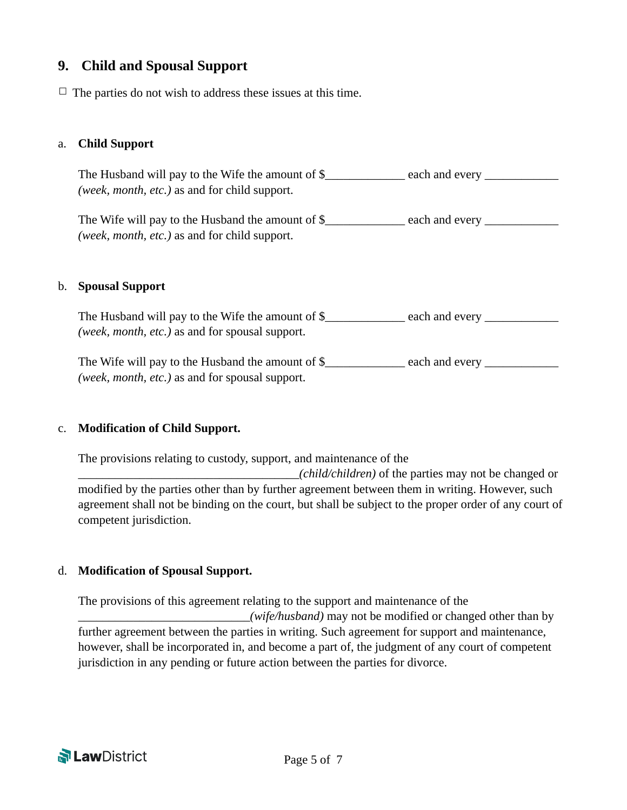# **9. Child and Spousal Support**

 $\Box$  The parties do not wish to address these issues at this time.

#### a. **Child Support**

The Husband will pay to the Wife the amount of \$\_\_\_\_\_\_\_\_\_\_\_\_ each and every \_\_\_\_\_\_\_\_\_\_ *(week, month, etc.)* as and for child support.

The Wife will pay to the Husband the amount of \$\_\_\_\_\_\_\_\_\_\_\_ each and every \_\_\_\_\_\_\_\_\_\_ *(week, month, etc.)* as and for child support.

#### b. **Spousal Support**

The Husband will pay to the Wife the amount of \$\_\_\_\_\_\_\_\_\_\_ each and every \_\_\_\_\_\_\_\_ *(week, month, etc.)* as and for spousal support.

The Wife will pay to the Husband the amount of \$\_\_\_\_\_\_\_\_\_\_\_ each and every \_\_\_\_\_\_\_\_\_\_\_ *(week, month, etc.)* as and for spousal support.

#### c. **Modification of Child Support.**

The provisions relating to custody, support, and maintenance of the

\_\_\_\_\_\_\_\_\_\_\_\_\_\_\_\_\_\_\_\_\_\_\_\_\_\_\_\_\_\_\_\_\_\_\_\_*(child/children)* of the parties may not be changed or modified by the parties other than by further agreement between them in writing. However, such agreement shall not be binding on the court, but shall be subject to the proper order of any court of competent jurisdiction.

#### d. **Modification of Spousal Support.**

The provisions of this agreement relating to the support and maintenance of the \_\_\_\_\_\_\_\_\_\_\_\_\_\_\_\_\_\_\_\_\_\_\_\_\_\_\_\_*(wife/husband)* may not be modified or changed other than by further agreement between the parties in writing. Such agreement for support and maintenance, however, shall be incorporated in, and become a part of, the judgment of any court of competent jurisdiction in any pending or future action between the parties for divorce.

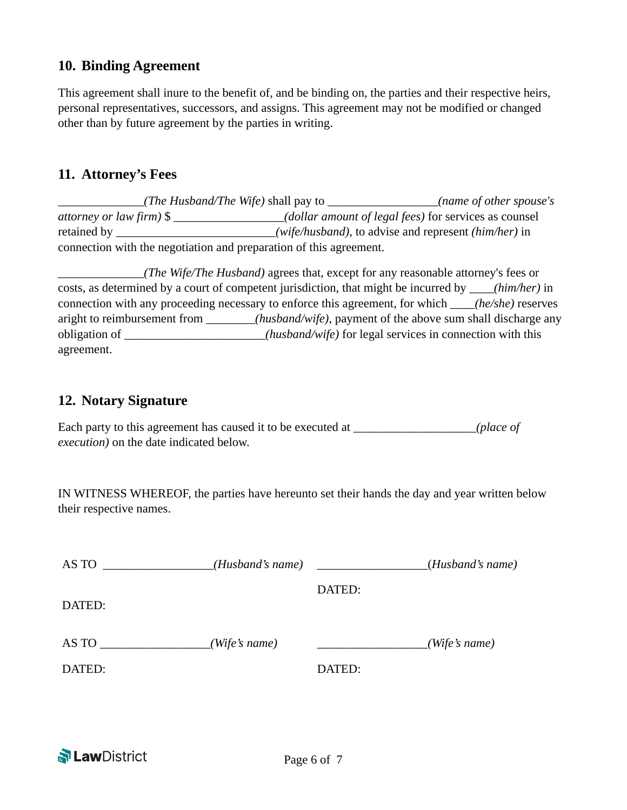# **10. Binding Agreement**

This agreement shall inure to the benefit of, and be binding on, the parties and their respective heirs, personal representatives, successors, and assigns. This agreement may not be modified or changed other than by future agreement by the parties in writing.

# **11. Attorney's Fees**

\_\_\_\_\_\_\_\_\_\_\_\_\_\_*(The Husband/The Wife)* shall pay to \_\_\_\_\_\_\_\_\_\_\_\_\_\_\_\_\_\_*(name of other spouse's attorney or law firm)* \$ \_\_\_\_\_\_\_\_\_\_\_\_\_\_\_\_\_\_*(dollar amount of legal fees)* for services as counsel retained by  $(wife/hushand)$ , to advise and represent *(him/her)* in connection with the negotiation and preparation of this agreement.

\_\_\_\_\_\_\_\_\_\_\_\_\_\_*(The Wife/The Husband)* agrees that, except for any reasonable attorney's fees or costs, as determined by a court of competent jurisdiction, that might be incurred by \_\_\_\_*(him/her)* in connection with any proceeding necessary to enforce this agreement, for which \_\_\_\_*(he/she)* reserves aright to reimbursement from \_\_\_\_\_\_\_\_*(husband/wife)*, payment of the above sum shall discharge any obligation of \_\_\_\_\_\_\_\_\_\_\_\_\_\_\_\_\_\_\_\_\_\_\_*(husband/wife)* for legal services in connection with this agreement.

# **12. Notary Signature**

Each party to this agreement has caused it to be executed at \_\_\_\_\_\_\_\_\_\_\_\_\_\_\_\_\_\_\_\_*(place of execution)* on the date indicated below.

IN WITNESS WHEREOF, the parties have hereunto set their hands the day and year written below their respective names.

| (Wife's name) |
|---------------|
|               |
|               |